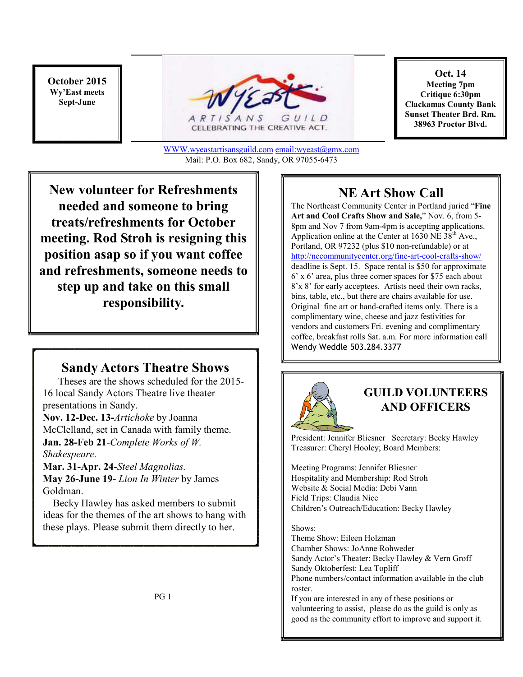**October 2015 Wy'East meets Sept-June** 



CELEBRATING THE CREATIVE ACT.

**Oct. 14 Meeting 7pm Critique 6:30pm Clackamas County Bank Sunset Theater Brd. Rm. 38963 Proctor Blvd.**

WWW.wyeastartisansguild.com email:wyeast@gmx.com Mail: P.O. Box 682, Sandy, OR 97055-6473

**New volunteer for Refreshments needed and someone to bring treats/refreshments for October meeting. Rod Stroh is resigning this position asap so if you want coffee and refreshments, someone needs to step up and take on this small responsibility.** 

#### **Sandy Actors Theatre Shows**

 Theses are the shows scheduled for the 2015- 16 local Sandy Actors Theatre live theater presentations in Sandy.

**Nov. 12-Dec. 13-***Artichoke* by Joanna McClelland, set in Canada with family theme. **Jan. 28-Feb 21**-*Complete Works of W. Shakespeare.* 

**Mar. 31-Apr. 24**-*Steel Magnolias.* **May 26-June 19**- *Lion In Winter* by James Goldman.

 Becky Hawley has asked members to submit ideas for the themes of the art shows to hang with these plays. Please submit them directly to her.

### **NE Art Show Call**

The Northeast Community Center in Portland juried "**Fine Art and Cool Crafts Show and Sale,**" Nov. 6, from 5- 8pm and Nov 7 from 9am-4pm is accepting applications. Application online at the Center at  $1630$  NE  $38<sup>th</sup>$  Ave., Portland, OR 97232 (plus \$10 non-refundable) or at http://necommunitycenter.org/fine-art-cool-crafts-show/ deadline is Sept. 15. Space rental is \$50 for approximate 6' x 6' area, plus three corner spaces for \$75 each about 8'x 8' for early acceptees. Artists need their own racks, bins, table, etc., but there are chairs available for use. Original fine art or hand-crafted items only. There is a complimentary wine, cheese and jazz festivities for vendors and customers Fri. evening and complimentary coffee, breakfast rolls Sat. a.m. For more information call Wendy Weddle 503.284.3377



#### **GUILD VOLUNTEERS AND OFFICERS**

President: Jennifer Bliesner Secretary: Becky Hawley Treasurer: Cheryl Hooley; Board Members:

Meeting Programs: Jennifer Bliesner Hospitality and Membership: Rod Stroh Website & Social Media: Debi Vann Field Trips: Claudia Nice Children's Outreach/Education: Becky Hawley

Shows:

Theme Show: Eileen Holzman Chamber Shows: JoAnne Rohweder Sandy Actor's Theater: Becky Hawley & Vern Groff Sandy Oktoberfest: Lea Topliff Phone numbers/contact information available in the club roster. If you are interested in any of these positions or

volunteering to assist, please do as the guild is only as good as the community effort to improve and support it.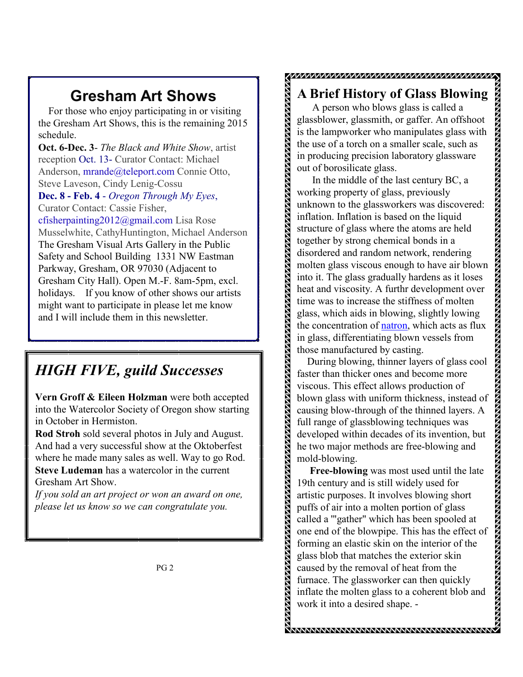## **Gresham Art Shows**

 For those who enjoy participating in or visiting the Gresham Art Shows, this is the remaining 2015 schedule.

**Oct. 6-Dec. 3**- *The Black and White Show*, artist reception Oct. 13- Curator Contact: Michael Anderson, mrande@teleport.com Connie Otto, Steve Laveson, Cindy Lenig-Cossu

**Dec. 8 - Feb. 4** - *Oregon Through My Eyes*, Curator Contact: Cassie Fisher,

cfisherpainting2012@gmail.com Lisa Rose Musselwhite, CathyHuntington, Michael Anderson The Gresham Visual Arts Gallery in the Public Safety and School Building 1331 NW Eastman Parkway, Gresham, OR 97030 (Adjacent to Gresham City Hall). Open M.-F. 8am-5pm, excl. holidays. If you know of other shows our artists might want to participate in please let me know and I will include them in this newsletter.

# *HIGH FIVE, guild Successes*

**Vern Groff & Eileen Holzman** were both accepted into the Watercolor Society of Oregon show starting in October in Hermiston.

**Rod Stroh** sold several photos in July and August. And had a very successful show at the Oktoberfest where he made many sales as well. Way to go Rod. **Steve Ludeman** has a watercolor in the current Gresham Art Show.

*If you sold an art project or won an award on one, please let us know so we can congratulate you.* 

## **A Brief History of Glass Blowing**

プルプププププププププププププププププ*ププププププププ/プ/プ/プ/プ/プ/*プ/プ/

 A person who blows glass is called a glassblower, glassmith, or gaffer. An offshoot is the lampworker who manipulates glass with the use of a torch on a smaller scale, such as in producing precision laboratory glassware out of borosilicate glass.

In the middle of the last century BC, a working property of glass, previously unknown to the glassworkers was discovered: inflation. Inflation is based on the liquid structure of glass where the atoms are held together by strong chemical bonds in a disordered and random network, rendering molten glass viscous enough to have air blown into it. The glass gradually hardens as it loses heat and viscosity. A furthr development over time was to increase the stiffness of molten glass, which aids in blowing, slightly lowing the concentration of natron, which acts as flux in glass, differentiating blown vessels from those manufactured by casting.

 During blowing, thinner layers of glass cool faster than thicker ones and become more viscous. This effect allows production of blown glass with uniform thickness, instead of causing blow-through of the thinned layers. A full range of glassblowing techniques was developed within decades of its invention, but he two major methods are free-blowing and mold-blowing.

 **Free-blowing** was most used until the late 19th century and is still widely used for artistic purposes. It involves blowing short puffs of air into a molten portion of glass called a '"gather" which has been spooled at one end of the blowpipe. This has the effect of forming an elastic skin on the interior of the glass blob that matches the exterior skin caused by the removal of heat from the furnace. The glassworker can then quickly inflate the molten glass to a coherent blob and work it into a desired shape. -

.<br>WWW.WWW.WWW.WWW.WWW.WWW.WWW.WWW.WW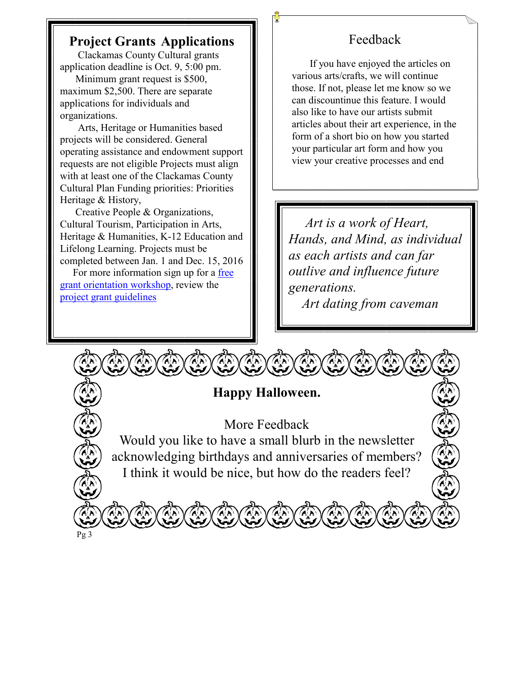## **Project Grants Applications**

 Clackamas County Cultural grants application deadline is Oct. 9, 5:00 pm.

 Minimum grant request is \$500, maximum \$2,500. There are separate applications for individuals and organizations.

 Arts, Heritage or Humanities based projects will be considered. General operating assistance and endowment support requests are not eligible Projects must align with at least one of the Clackamas County Cultural Plan Funding priorities: Priorities Heritage & History,

 Creative People & Organizations, Cultural Tourism, Participation in Arts, Heritage & Humanities, K-12 Education and Lifelong Learning. Projects must be completed between Jan. 1 and Dec. 15, 2016

 For more information sign up for a free grant orientation workshop, review the project grant guidelines

## Feedback

 If you have enjoyed the articles on various arts/crafts, we will continue those. If not, please let me know so we can discountinue this feature. I would also like to have our artists submit articles about their art experience, in the form of a short bio on how you started your particular art form and how you view your creative processes and end

 *Art is a work of Heart, Hands, and Mind, as individual as each artists and can far outlive and influence future generations.* 

 *Art dating from caveman* 

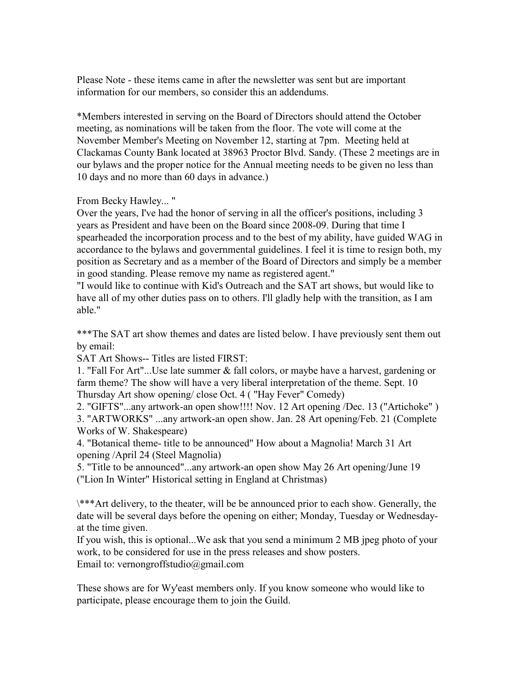Please Note - these items came in after the newsletter was sent but are important information for our members, so consider this an addendums.

\*Members interested in serving on the Board of Directors should attend the October meeting, as nominations will be taken from the floor. The vote will come at the November Member's Meeting on November 12, starting at 7pm. Meeting held at Clackamas County Bank located at 38963 Proctor Blvd. Sandy. (These 2 meetings are in our bylaws and the proper notice for the Annual meeting needs to be given no less than 10 days and no more than 60 days in advance.)

From Becky Hawley... "

Over the years, I've had the honor of serving in all the officer's positions, including 3 years as President and have been on the Board since 2008-09. During that time I spearheaded the incorporation process and to the best of my ability, have guided WAG in accordance to the bylaws and governmental guidelines. I feel it is time to resign both, my position as Secretary and as a member of the Board of Directors and simply be a member in good standing. Please remove my name as registered agent."

"I would like to continue with Kid's Outreach and the SAT art shows, but would like to have all of my other duties pass on to others. I'll gladly help with the transition, as I am able."

\*\*\*The SAT art show themes and dates are listed below. I have previously sent them out by email:

SAT Art Shows-- Titles are listed FIRST:

1. "Fall For Art"...Use late summer & fall colors, or maybe have a harvest, gardening or farm theme? The show will have a very liberal interpretation of the theme. Sept. 10 Thursday Art show opening/ close Oct. 4 ( "Hay Fever" Comedy)

2. "GIFTS"...any artwork-an open show!!!! Nov. 12 Art opening /Dec. 13 ("Artichoke" )

3. "ARTWORKS" ...any artwork-an open show. Jan. 28 Art opening/Feb. 21 (Complete Works of W. Shakespeare)

4. "Botanical theme- title to be announced" How about a Magnolia! March 31 Art opening /April 24 (Steel Magnolia)

5. "Title to be announced"...any artwork-an open show May 26 Art opening/June 19 ("Lion In Winter" Historical setting in England at Christmas)

\\*\*\*Art delivery, to the theater, will be be announced prior to each show. Generally, the date will be several days before the opening on either; Monday, Tuesday or Wednesdayat the time given.

If you wish, this is optional...We ask that you send a minimum 2 MB jpeg photo of your work, to be considered for use in the press releases and show posters. Email to: vernongroffstudio@gmail.com

These shows are for Wy'east members only. If you know someone who would like to participate, please encourage them to join the Guild.